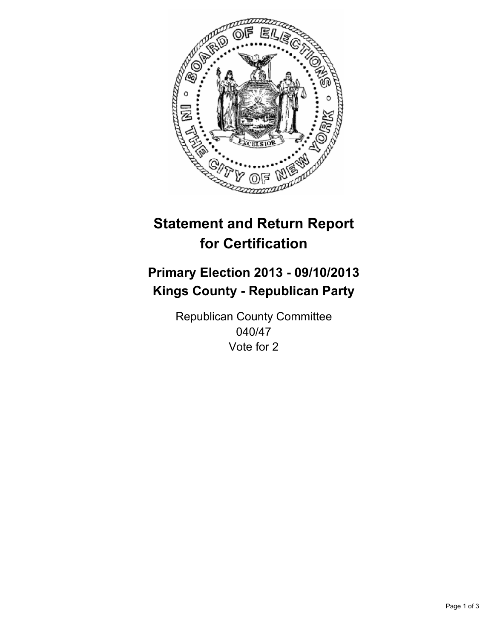

# **Statement and Return Report for Certification**

# **Primary Election 2013 - 09/10/2013 Kings County - Republican Party**

Republican County Committee 040/47 Vote for 2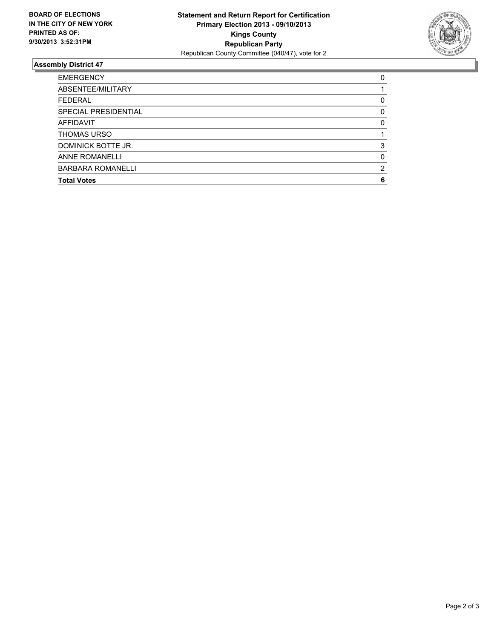

## **Assembly District 47**

| <b>EMERGENCY</b>         | 0 |
|--------------------------|---|
| ABSENTEE/MILITARY        |   |
| <b>FEDERAL</b>           | 0 |
| SPECIAL PRESIDENTIAL     | 0 |
| <b>AFFIDAVIT</b>         | 0 |
| <b>THOMAS URSO</b>       |   |
| DOMINICK BOTTE JR.       | 3 |
| <b>ANNE ROMANELLI</b>    | 0 |
| <b>BARBARA ROMANELLI</b> | 2 |
| <b>Total Votes</b>       | 6 |